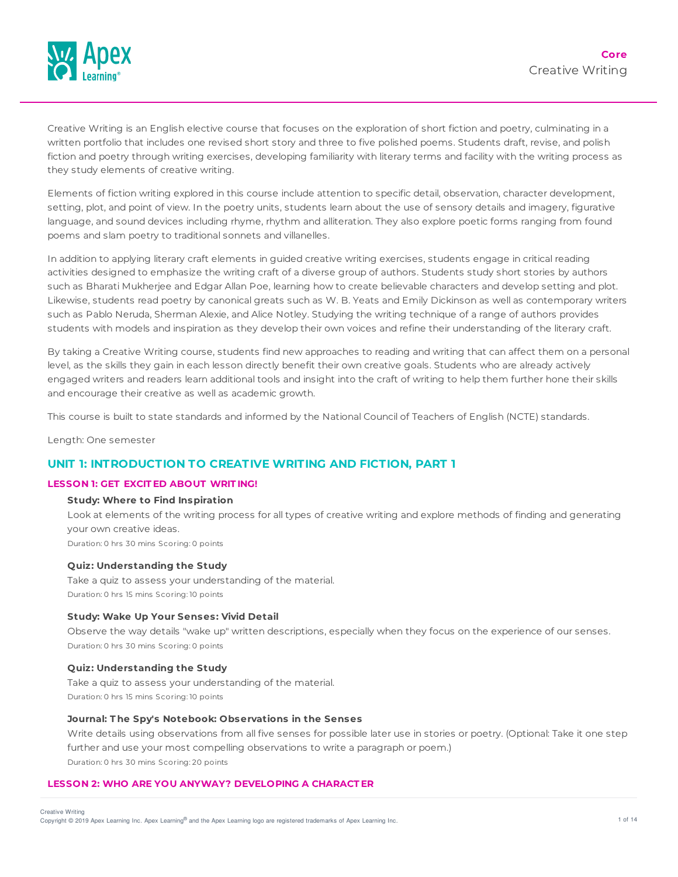

Creative Writing is an English elective course that focuses on the exploration of short fiction and poetry, culminating in a written portfolio that includes one revised short story and three to five polished poems. Students draft, revise, and polish fiction and poetry through writing exercises, developing familiarity with literary terms and facility with the writing process as they study elements of creative writing.

Elements of fiction writing explored in this course include attention to specific detail, observation, character development, setting, plot, and point of view. In the poetry units, students learn about the use of sensory details and imagery, figurative language, and sound devices including rhyme, rhythm and alliteration. They also explore poetic forms ranging from found poems and slam poetry to traditional sonnets and villanelles.

In addition to applying literary craft elements in guided creative writing exercises, students engage in critical reading activities designed to emphasize the writing craft of a diverse group of authors. Students study short stories by authors such as Bharati Mukherjee and Edgar Allan Poe, learning how to create believable characters and develop setting and plot. Likewise, students read poetry by canonical greats such as W. B. Yeats and Emily Dickinson as well as contemporary writers such as Pablo Neruda, Sherman Alexie, and Alice Notley. Studying the writing technique of a range of authors provides students with models and inspiration as they develop their own voices and refine their understanding of the literary craft.

By taking a Creative Writing course, students find new approaches to reading and writing that can affect them on a personal level, as the skills they gain in each lesson directly benefit their own creative goals. Students who are already actively engaged writers and readers learn additional tools and insight into the craft of writing to help them further hone their skills and encourage their creative as well as academic growth.

This course is built to state standards and informed by the National Council of Teachers of English (NCTE) standards.

Length: One semester

# **UNIT 1: INTRODUCTION TO CREATIVE WRITING AND FICTION, PART 1**

### **LESSON 1: GET EXCIT ED ABOUT WRIT ING!**

### **Study: Where to Find Inspiration**

Look at elements of the writing process for all types of creative writing and explore methods of finding and generating your own creative ideas. Duration: 0 hrs 30 mins Scoring: 0 points

# **Quiz: Understanding the Study**

Take a quiz to assess your understanding of the material. Duration: 0 hrs 15 mins Scoring: 10 points

### **Study: Wake Up Your Senses: Vivid Detail**

Observe the way details "wake up" written descriptions, especially when they focus on the experience of our senses. Duration: 0 hrs 30 mins Scoring: 0 points

#### **Quiz: Understanding the Study**

Take a quiz to assess your understanding of the material. Duration: 0 hrs 15 mins Scoring: 10 points

### **Journal: T he Spy's Notebook: Observations in the Senses**

Write details using observations from all five senses for possible later use in stories or poetry. (Optional: Take it one step further and use your most compelling observations to write a paragraph or poem.) Duration: 0 hrs 30 mins Scoring: 20 points

### **LESSON 2: WHO ARE YOU ANYWAY? DEVELOPING A CHARACT ER**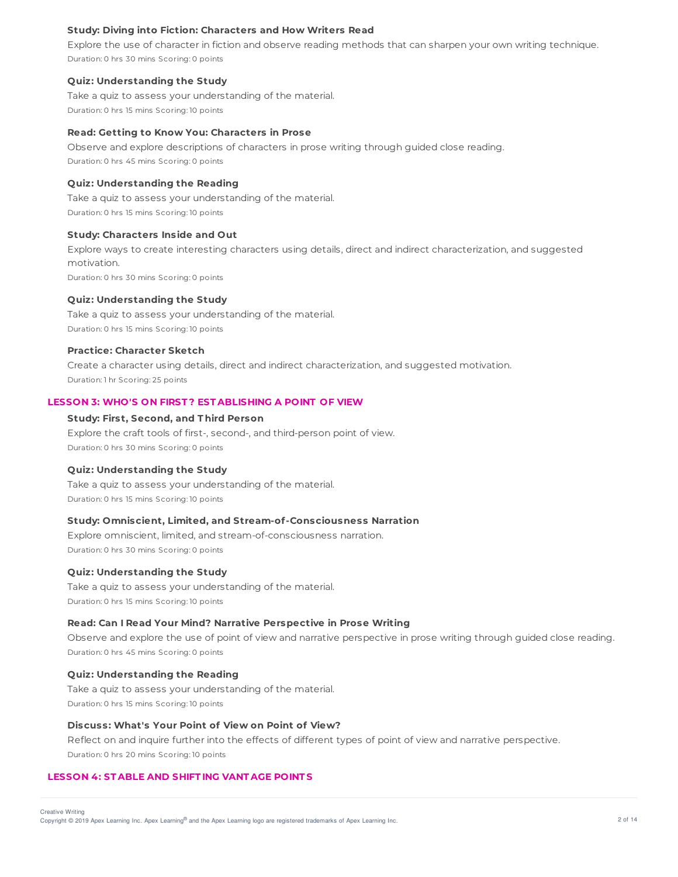### **Study: Diving into Fiction: Characters and How Writers Read**

Explore the use of character in fiction and observe reading methods that can sharpen your own writing technique. Duration: 0 hrs 30 mins Scoring: 0 points

#### **Quiz: Understanding the Study**

Take a quiz to assess your understanding of the material. Duration: 0 hrs 15 mins Scoring: 10 points

#### **Read: Getting to Know You: Characters in Prose**

Observe and explore descriptions of characters in prose writing through guided close reading. Duration: 0 hrs 45 mins Scoring: 0 points

#### **Quiz: Understanding the Reading**

Take a quiz to assess your understanding of the material. Duration: 0 hrs 15 mins Scoring: 10 points

#### **Study: Characters Inside and Out**

Explore ways to create interesting characters using details, direct and indirect characterization, and suggested motivation.

Duration: 0 hrs 30 mins Scoring: 0 points

#### **Quiz: Understanding the Study**

Take a quiz to assess your understanding of the material. Duration: 0 hrs 15 mins Scoring: 10 points

#### **Practice: Character Sketch**

Create a character using details, direct and indirect characterization, and suggested motivation. Duration: 1 hr Scoring: 25 points

# **LESSON 3: WHO'S ON FIRST ? EST ABLISHING A POINT OF VIEW**

### **Study: First, Second, and T hird Person**

Explore the craft tools of first-, second-, and third-person point of view. Duration: 0 hrs 30 mins Scoring: 0 points

#### **Quiz: Understanding the Study**

Take a quiz to assess your understanding of the material. Duration: 0 hrs 15 mins Scoring: 10 points

## **Study: Omniscient, Limited, and Stream-of-Consciousness Narration**

Explore omniscient, limited, and stream-of-consciousness narration. Duration: 0 hrs 30 mins Scoring: 0 points

#### **Quiz: Understanding the Study**

Take a quiz to assess your understanding of the material. Duration: 0 hrs 15 mins Scoring: 10 points

### **Read: Can I Read Your Mind? Narrative Perspective in Prose Writing**

Observe and explore the use of point of view and narrative perspective in prose writing through guided close reading. Duration: 0 hrs 45 mins Scoring: 0 points

### **Quiz: Understanding the Reading**

Take a quiz to assess your understanding of the material. Duration: 0 hrs 15 mins Scoring: 10 points

## **Discuss: What's Your Point of View on Point of View?**

Reflect on and inquire further into the effects of different types of point of view and narrative perspective. Duration: 0 hrs 20 mins Scoring: 10 points

# **LESSON 4: ST ABLE AND SHIFT ING VANT AGE POINT S**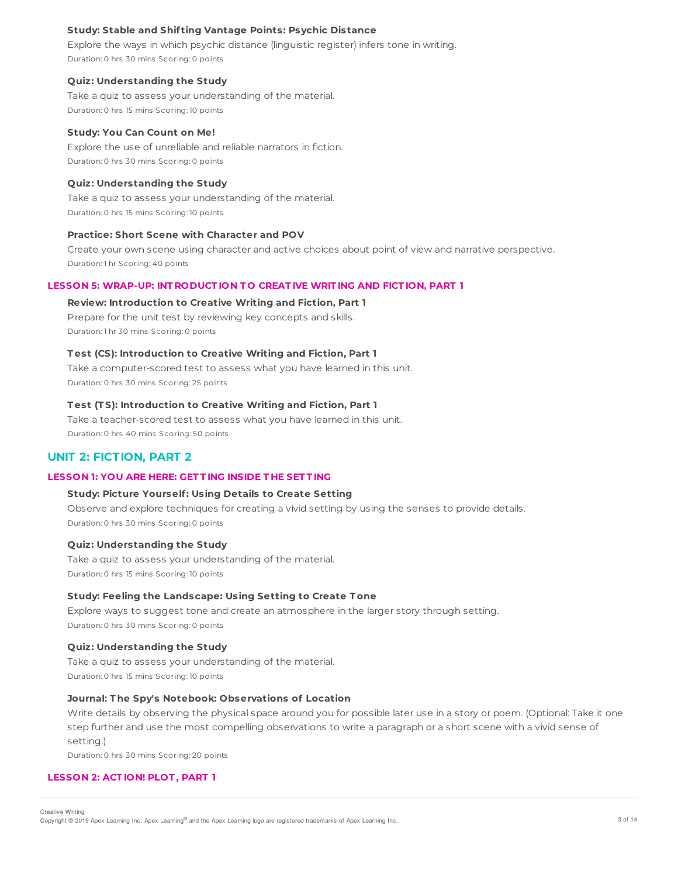### **Study: Stable and Shif ting Vantage Points: Psychic Distance**

Explore the ways in which psychic distance (linguistic register) infers tone in writing. Duration: 0 hrs 30 mins Scoring: 0 points

#### **Quiz: Understanding the Study**

Take a quiz to assess your understanding of the material. Duration: 0 hrs 15 mins Scoring: 10 points

### **Study: You Can Count on Me!**

Explore the use of unreliable and reliable narrators in fiction. Duration: 0 hrs 30 mins Scoring: 0 points

#### **Quiz: Understanding the Study**

Take a quiz to assess your understanding of the material. Duration: 0 hrs 15 mins Scoring: 10 points

### **Practice: Short Scene with Character and POV**

Create your own scene using character and active choices about point of view and narrative perspective. Duration: 1 hr Scoring: 40 points

#### **LESSON 5: WRAP-UP: INT RODUCT ION T O CREAT IVE WRIT ING AND FICT ION, PART 1**

#### **Review: Introduction to Creative Writing and Fiction, Part 1**

Prepare for the unit test by reviewing key concepts and skills. Duration: 1 hr 30 mins Scoring: 0 points

## **T est (CS): Introduction to Creative Writing and Fiction, Part 1**

Take a computer-scored test to assess what you have learned in this unit. Duration: 0 hrs 30 mins Scoring: 25 points

### **T est (T S): Introduction to Creative Writing and Fiction, Part 1**

Take a teacher-scored test to assess what you have learned in this unit. Duration: 0 hrs 40 mins Scoring: 50 points

# **UNIT 2: FICTION, PART 2**

# **LESSON 1: YOU ARE HERE: GET T ING INSIDE T HE SET T ING**

## **Study: Picture Yourself: Using Details to Create Setting**

Observe and explore techniques for creating a vivid setting by using the senses to provide details. Duration: 0 hrs 30 mins Scoring: 0 points

### **Quiz: Understanding the Study**

Take a quiz to assess your understanding of the material. Duration: 0 hrs 15 mins Scoring: 10 points

### **Study: Feeling the Landscape: Using Setting to Create T one**

Explore ways to suggest tone and create an atmosphere in the larger story through setting. Duration: 0 hrs 30 mins Scoring: 0 points

### **Quiz: Understanding the Study**

Take a quiz to assess your understanding of the material. Duration: 0 hrs 15 mins Scoring: 10 points

#### **Journal: T he Spy's Notebook: Observations of Location**

Write details by observing the physical space around you for possible later use in a story or poem. (Optional: Take it one step further and use the most compelling observations to write a paragraph or a short scene with a vivid sense of setting.)

Duration: 0 hrs 30 mins Scoring: 20 points

### **LESSON 2: ACT ION! PLOT , PART 1**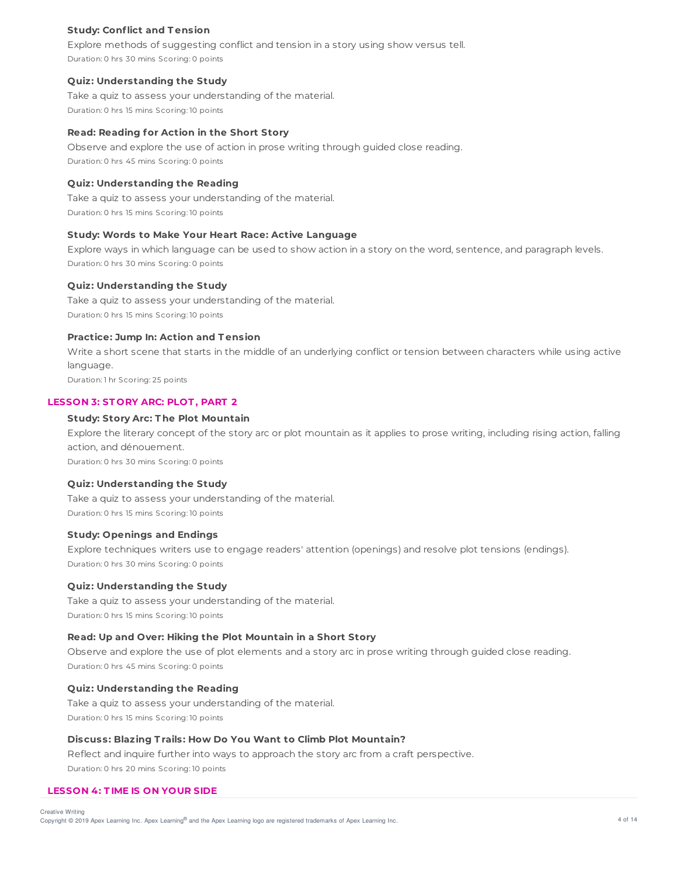## **Study: Conflict and T ension**

Explore methods of suggesting conflict and tension in a story using show versus tell. Duration: 0 hrs 30 mins Scoring: 0 points

#### **Quiz: Understanding the Study**

Take a quiz to assess your understanding of the material. Duration: 0 hrs 15 mins Scoring: 10 points

#### **Read: Reading for Action in the Short Story**

Observe and explore the use of action in prose writing through guided close reading. Duration: 0 hrs 45 mins Scoring: 0 points

#### **Quiz: Understanding the Reading**

Take a quiz to assess your understanding of the material. Duration: 0 hrs 15 mins Scoring: 10 points

#### **Study: Words to Make Your Heart Race: Active Language**

Explore ways in which language can be used to show action in a story on the word, sentence, and paragraph levels. Duration: 0 hrs 30 mins Scoring: 0 points

#### **Quiz: Understanding the Study**

Take a quiz to assess your understanding of the material. Duration: 0 hrs 15 mins Scoring: 10 points

# **Practice: Jump In: Action and T ension**

Write a short scene that starts in the middle of an underlying conflict or tension between characters while using active language. Duration: 1 hr Scoring: 25 points

# **LESSON 3: ST ORY ARC: PLOT , PART 2**

## **Study: Story Arc: T he Plot Mountain**

Explore the literary concept of the story arc or plot mountain as it applies to prose writing, including rising action, falling action, and dénouement.

Duration: 0 hrs 30 mins Scoring: 0 points

#### **Quiz: Understanding the Study**

Take a quiz to assess your understanding of the material. Duration: 0 hrs 15 mins Scoring: 10 points

## **Study: Openings and Endings**

Explore techniques writers use to engage readers' attention (openings) and resolve plot tensions (endings). Duration: 0 hrs 30 mins Scoring: 0 points

## **Quiz: Understanding the Study**

Take a quiz to assess your understanding of the material. Duration: 0 hrs 15 mins Scoring: 10 points

#### **Read: Up and Over: Hiking the Plot Mountain in a Short Story**

Observe and explore the use of plot elements and a story arc in prose writing through guided close reading. Duration: 0 hrs 45 mins Scoring: 0 points

## **Quiz: Understanding the Reading**

Take a quiz to assess your understanding of the material. Duration: 0 hrs 15 mins Scoring: 10 points

### **Discuss: Blazing T rails: How Do You Want to Climb Plot Mountain?**

Reflect and inquire further into ways to approach the story arc from a craft perspective. Duration: 0 hrs 20 mins Scoring: 10 points

### **LESSON 4: T IME IS ON YOUR SIDE**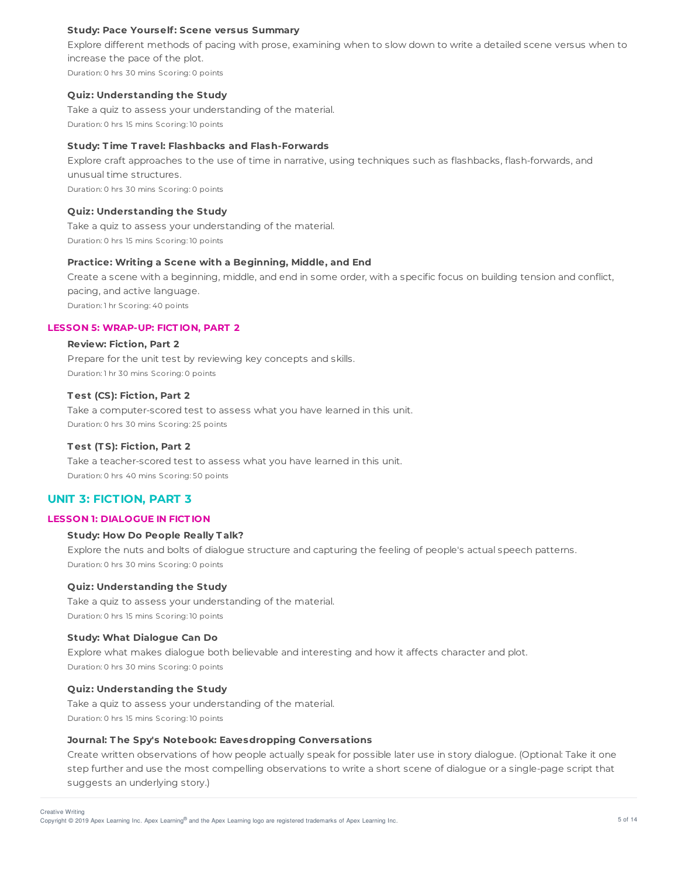### **Study: Pace Yourself: Scene versus Summary**

Explore different methods of pacing with prose, examining when to slow down to write a detailed scene versus when to increase the pace of the plot. Duration: 0 hrs 30 mins Scoring: 0 points

#### **Quiz: Understanding the Study**

Take a quiz to assess your understanding of the material. Duration: 0 hrs 15 mins Scoring: 10 points

## **Study: T ime T ravel: Flashbacks and Flash-Forwards**

Explore craft approaches to the use of time in narrative, using techniques such as flashbacks, flash-forwards, and unusual time structures. Duration: 0 hrs 30 mins Scoring: 0 points

### **Quiz: Understanding the Study**

Take a quiz to assess your understanding of the material. Duration: 0 hrs 15 mins Scoring: 10 points

### **Practice: Writing a Scene with a Beginning, Middle, and End**

Create a scene with a beginning, middle, and end in some order, with a specific focus on building tension and conflict, pacing, and active language. Duration: 1 hr Scoring: 40 points

# **LESSON 5: WRAP-UP: FICT ION, PART 2**

### **Review: Fiction, Part 2**

Prepare for the unit test by reviewing key concepts and skills. Duration: 1 hr 30 mins Scoring: 0 points

### **T est (CS): Fiction, Part 2**

Take a computer-scored test to assess what you have learned in this unit. Duration: 0 hrs 30 mins Scoring: 25 points

### **T est (T S): Fiction, Part 2**

Take a teacher-scored test to assess what you have learned in this unit. Duration: 0 hrs 40 mins Scoring: 50 points

# **UNIT 3: FICTION, PART 3**

## **LESSON 1: DIALOGUE IN FICT ION**

## **Study: How Do People Really T alk?**

Explore the nuts and bolts of dialogue structure and capturing the feeling of people's actual speech patterns. Duration: 0 hrs 30 mins Scoring: 0 points

#### **Quiz: Understanding the Study**

Take a quiz to assess your understanding of the material. Duration: 0 hrs 15 mins Scoring: 10 points

### **Study: What Dialogue Can Do**

Explore what makes dialogue both believable and interesting and how it affects character and plot. Duration: 0 hrs 30 mins Scoring: 0 points

#### **Quiz: Understanding the Study**

Take a quiz to assess your understanding of the material. Duration: 0 hrs 15 mins Scoring: 10 points

## **Journal: T he Spy's Notebook: Eavesdropping Conversations**

Create written observations of how people actually speak for possible later use in story dialogue. (Optional: Take it one step further and use the most compelling observations to write a short scene of dialogue or a single-page script that suggests an underlying story.)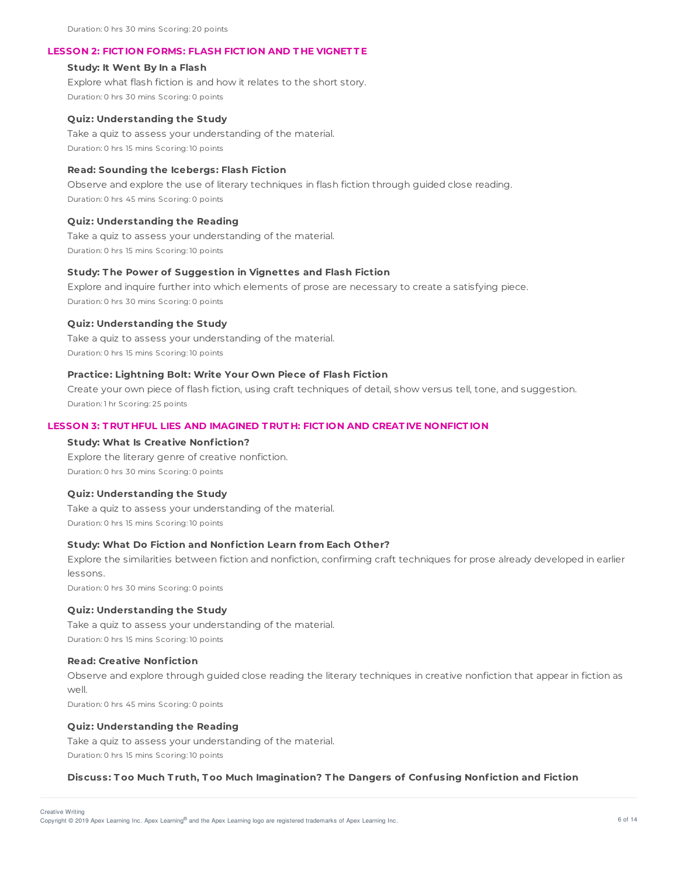Duration: 0 hrs 30 mins Scoring: 20 points

### **LESSON 2: FICT ION FORMS: FLASH FICT ION AND T HE VIGNET T E**

#### **Study: It Went By In a Flash**

Explore what flash fiction is and how it relates to the short story. Duration: 0 hrs 30 mins Scoring: 0 points

#### **Quiz: Understanding the Study**

Take a quiz to assess your understanding of the material. Duration: 0 hrs 15 mins Scoring: 10 points

### **Read: Sounding the Icebergs: Flash Fiction**

Observe and explore the use of literary techniques in flash fiction through guided close reading. Duration: 0 hrs 45 mins Scoring: 0 points

#### **Quiz: Understanding the Reading**

Take a quiz to assess your understanding of the material. Duration: 0 hrs 15 mins Scoring: 10 points

### **Study: T he Power of Suggestion in Vignettes and Flash Fiction**

Explore and inquire further into which elements of prose are necessary to create a satisfying piece. Duration: 0 hrs 30 mins Scoring: 0 points

#### **Quiz: Understanding the Study**

Take a quiz to assess your understanding of the material. Duration: 0 hrs 15 mins Scoring: 10 points

## **Practice: Lightning Bolt: Write Your Own Piece of Flash Fiction**

Create your own piece of flash fiction, using craft techniques of detail, show versus tell, tone, and suggestion. Duration: 1 hr Scoring: 25 points

### **LESSON 3: T RUT HFUL LIES AND IMAGINED T RUT H: FICT ION AND CREAT IVE NONFICT ION**

#### **Study: What Is Creative Nonfiction?**

Explore the literary genre of creative nonfiction. Duration: 0 hrs 30 mins Scoring: 0 points

### **Quiz: Understanding the Study**

Take a quiz to assess your understanding of the material. Duration: 0 hrs 15 mins Scoring: 10 points

### **Study: What Do Fiction and Nonfiction Learn f rom Each Other?**

Explore the similarities between fiction and nonfiction, confirming craft techniques for prose already developed in earlier lessons.

Duration: 0 hrs 30 mins Scoring: 0 points

#### **Quiz: Understanding the Study**

Take a quiz to assess your understanding of the material. Duration: 0 hrs 15 mins Scoring: 10 points

## **Read: Creative Nonfiction**

Observe and explore through guided close reading the literary techniques in creative nonfiction that appear in fiction as well.

Duration: 0 hrs 45 mins Scoring: 0 points

#### **Quiz: Understanding the Reading**

Take a quiz to assess your understanding of the material. Duration: 0 hrs 15 mins Scoring: 10 points

#### **Discuss: T oo Much T ruth, T oo Much Imagination? T he Dangers of Confusing Nonfiction and Fiction**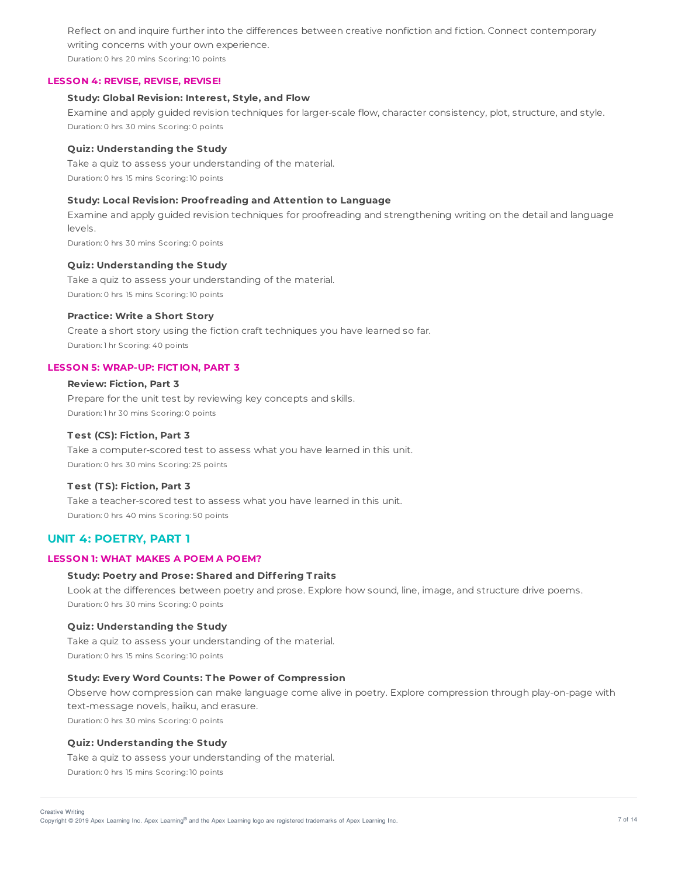Reflect on and inquire further into the differences between creative nonfiction and fiction. Connect contemporary writing concerns with your own experience.

Duration: 0 hrs 20 mins Scoring: 10 points

### **LESSON 4: REVISE, REVISE, REVISE!**

### **Study: Global Revision: Interest, Style, and Flow**

Examine and apply guided revision techniques for larger-scale flow, character consistency, plot, structure, and style. Duration: 0 hrs 30 mins Scoring: 0 points

### **Quiz: Understanding the Study**

Take a quiz to assess your understanding of the material. Duration: 0 hrs 15 mins Scoring: 10 points

# **Study: Local Revision: Proof reading and Attention to Language**

Examine and apply guided revision techniques for proofreading and strengthening writing on the detail and language levels.

Duration: 0 hrs 30 mins Scoring: 0 points

### **Quiz: Understanding the Study**

Take a quiz to assess your understanding of the material. Duration: 0 hrs 15 mins Scoring: 10 points

### **Practice: Write a Short Story**

Create a short story using the fiction craft techniques you have learned so far. Duration: 1 hr Scoring: 40 points

## **LESSON 5: WRAP-UP: FICT ION, PART 3**

# **Review: Fiction, Part 3**

Prepare for the unit test by reviewing key concepts and skills. Duration: 1 hr 30 mins Scoring: 0 points

### **T est (CS): Fiction, Part 3**

Take a computer-scored test to assess what you have learned in this unit. Duration: 0 hrs 30 mins Scoring: 25 points

# **T est (T S): Fiction, Part 3**

Take a teacher-scored test to assess what you have learned in this unit. Duration: 0 hrs 40 mins Scoring: 50 points

# **UNIT 4: POETRY, PART 1**

# **LESSON 1: WHAT MAKES A POEM A POEM?**

# **Study: Poetry and Prose: Shared and Differing T raits**

Look at the differences between poetry and prose. Explore how sound, line, image, and structure drive poems. Duration: 0 hrs 30 mins Scoring: 0 points

# **Quiz: Understanding the Study**

Take a quiz to assess your understanding of the material. Duration: 0 hrs 15 mins Scoring: 10 points

### **Study: Every Word Counts: T he Power of Compression**

Observe how compression can make language come alive in poetry. Explore compression through play-on-page with text-message novels, haiku, and erasure. Duration: 0 hrs 30 mins Scoring: 0 points

### **Quiz: Understanding the Study**

Take a quiz to assess your understanding of the material. Duration: 0 hrs 15 mins Scoring: 10 points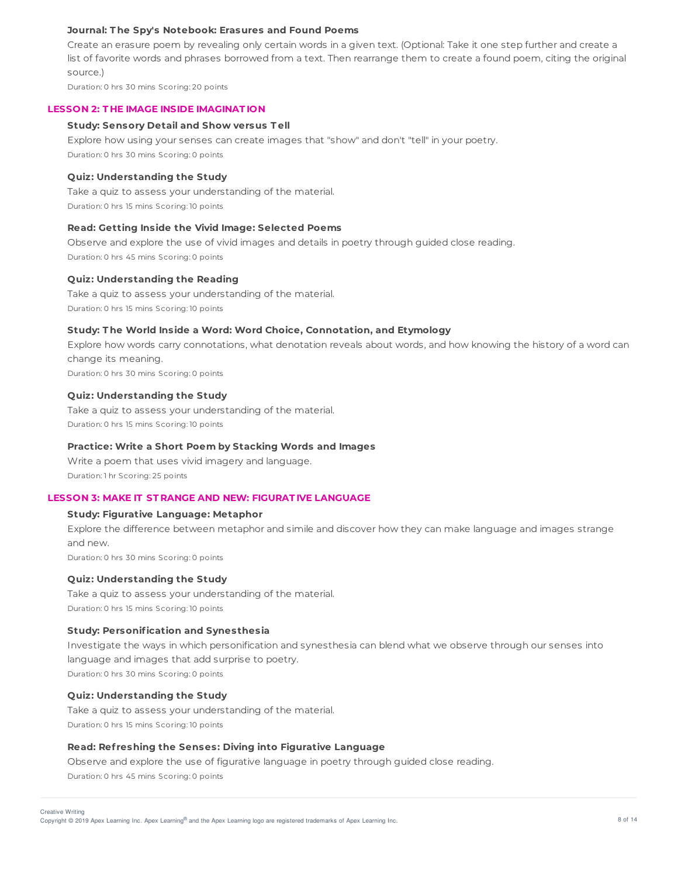### **Journal: T he Spy's Notebook: Erasures and Found Poems**

Create an erasure poem by revealing only certain words in a given text. (Optional: Take it one step further and create a list of favorite words and phrases borrowed from a text. Then rearrange them to create a found poem, citing the original source.)

Duration: 0 hrs 30 mins Scoring: 20 points

#### **LESSON 2: T HE IMAGE INSIDE IMAGINAT ION**

#### **Study: Sensory Detail and Show versus T ell**

Explore how using your senses can create images that "show" and don't "tell" in your poetry. Duration: 0 hrs 30 mins Scoring: 0 points

### **Quiz: Understanding the Study**

Take a quiz to assess your understanding of the material. Duration: 0 hrs 15 mins Scoring: 10 points

#### **Read: Getting Inside the Vivid Image: Selected Poems**

Observe and explore the use of vivid images and details in poetry through guided close reading. Duration: 0 hrs 45 mins Scoring: 0 points

#### **Quiz: Understanding the Reading**

Take a quiz to assess your understanding of the material. Duration: 0 hrs 15 mins Scoring: 10 points

### **Study: T he World Inside a Word: Word Choice, Connotation, and Etymology**

Explore how words carry connotations, what denotation reveals about words, and how knowing the history of a word can change its meaning.

Duration: 0 hrs 30 mins Scoring: 0 points

## **Quiz: Understanding the Study**

Take a quiz to assess your understanding of the material. Duration: 0 hrs 15 mins Scoring: 10 points

#### **Practice: Write a Short Poem by Stacking Words and Images**

Write a poem that uses vivid imagery and language. Duration: 1 hr Scoring: 25 points

### **LESSON 3: MAKE IT ST RANGE AND NEW: FIGURAT IVE LANGUAGE**

#### **Study: Figurative Language: Metaphor**

Explore the difference between metaphor and simile and discover how they can make language and images strange and new.

Duration: 0 hrs 30 mins Scoring: 0 points

### **Quiz: Understanding the Study**

Take a quiz to assess your understanding of the material. Duration: 0 hrs 15 mins Scoring: 10 points

#### **Study: Personification and Synesthesia**

Investigate the ways in which personification and synesthesia can blend what we observe through our senses into language and images that add surprise to poetry. Duration: 0 hrs 30 mins Scoring: 0 points

# **Quiz: Understanding the Study**

Take a quiz to assess your understanding of the material. Duration: 0 hrs 15 mins Scoring: 10 points

### **Read: Ref reshing the Senses: Diving into Figurative Language**

Observe and explore the use of figurative language in poetry through guided close reading. Duration: 0 hrs 45 mins Scoring: 0 points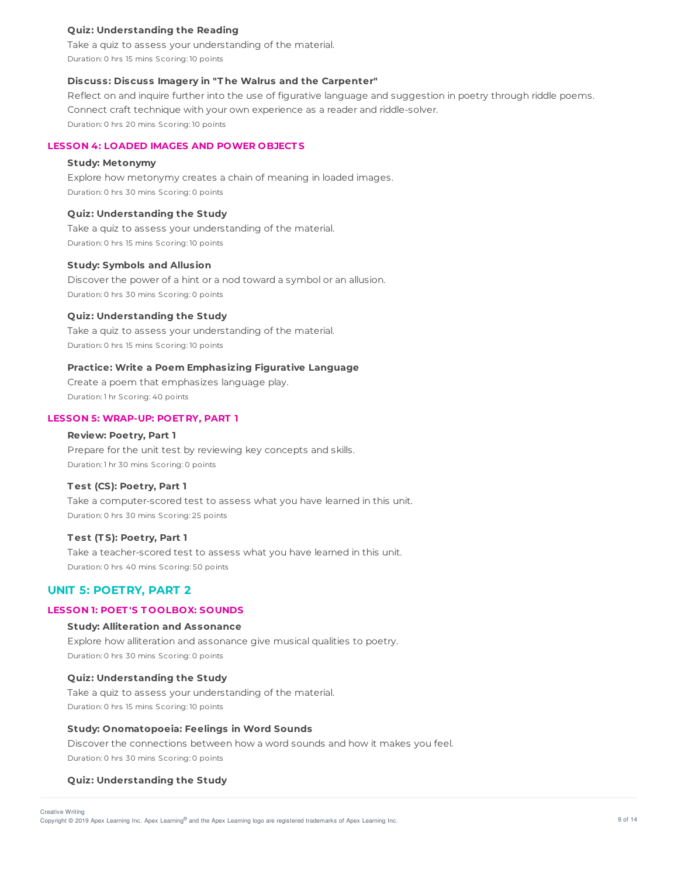### **Quiz: Understanding the Reading**

Take a quiz to assess your understanding of the material. Duration: 0 hrs 15 mins Scoring: 10 points

### **Discuss: Discuss Imagery in "T he Walrus and the Carpenter"**

Reflect on and inquire further into the use of figurative language and suggestion in poetry through riddle poems. Connect craft technique with your own experience as a reader and riddle-solver. Duration: 0 hrs 20 mins Scoring: 10 points

# **LESSON 4: LOADED IMAGES AND POWER OBJECT S**

## **Study: Metonymy**

Explore how metonymy creates a chain of meaning in loaded images. Duration: 0 hrs 30 mins Scoring: 0 points

### **Quiz: Understanding the Study**

Take a quiz to assess your understanding of the material. Duration: 0 hrs 15 mins Scoring: 10 points

#### **Study: Symbols and Allusion**

Discover the power of a hint or a nod toward a symbol or an allusion. Duration: 0 hrs 30 mins Scoring: 0 points

#### **Quiz: Understanding the Study**

Take a quiz to assess your understanding of the material. Duration: 0 hrs 15 mins Scoring: 10 points

#### **Practice: Write a Poem Emphasizing Figurative Language**

Create a poem that emphasizes language play. Duration: 1 hr Scoring: 40 points

### **LESSON 5: WRAP-UP: POET RY, PART 1**

#### **Review: Poetry, Part 1**

Prepare for the unit test by reviewing key concepts and skills. Duration: 1 hr 30 mins Scoring: 0 points

### **T est (CS): Poetry, Part 1**

Take a computer-scored test to assess what you have learned in this unit. Duration: 0 hrs 30 mins Scoring: 25 points

#### **T est (T S): Poetry, Part 1**

Take a teacher-scored test to assess what you have learned in this unit. Duration: 0 hrs 40 mins Scoring: 50 points

# **UNIT 5: POETRY, PART 2**

# **LESSON 1: POET 'S T OOLBOX: SOUNDS**

### **Study: Alliteration and Assonance**

Explore how alliteration and assonance give musical qualities to poetry. Duration: 0 hrs 30 mins Scoring: 0 points

#### **Quiz: Understanding the Study**

Take a quiz to assess your understanding of the material. Duration: 0 hrs 15 mins Scoring: 10 points

## **Study: Onomatopoeia: Feelings in Word Sounds**

Discover the connections between how a word sounds and how it makes you feel. Duration: 0 hrs 30 mins Scoring: 0 points

### **Quiz: Understanding the Study**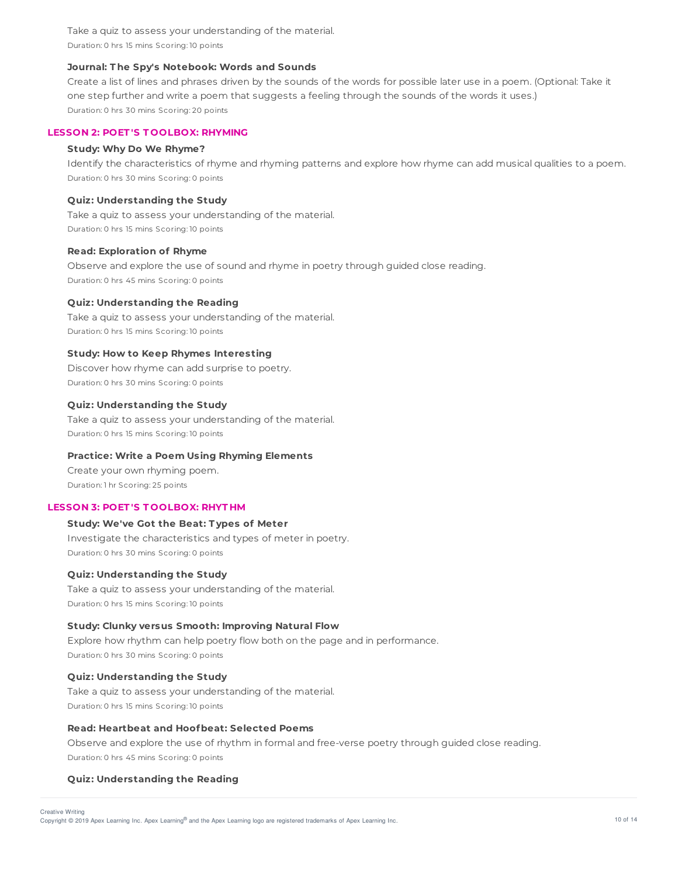Take a quiz to assess your understanding of the material. Duration: 0 hrs 15 mins Scoring: 10 points

### **Journal: T he Spy's Notebook: Words and Sounds**

Create a list of lines and phrases driven by the sounds of the words for possible later use in a poem. (Optional: Take it one step further and write a poem that suggests a feeling through the sounds of the words it uses.) Duration: 0 hrs 30 mins Scoring: 20 points

### **LESSON 2: POET 'S T OOLBOX: RHYMING**

### **Study: Why Do We Rhyme?**

Identify the characteristics of rhyme and rhyming patterns and explore how rhyme can add musical qualities to a poem. Duration: 0 hrs 30 mins Scoring: 0 points

### **Quiz: Understanding the Study**

Take a quiz to assess your understanding of the material. Duration: 0 hrs 15 mins Scoring: 10 points

#### **Read: Exploration of Rhyme**

Observe and explore the use of sound and rhyme in poetry through guided close reading. Duration: 0 hrs 45 mins Scoring: 0 points

### **Quiz: Understanding the Reading**

Take a quiz to assess your understanding of the material. Duration: 0 hrs 15 mins Scoring: 10 points

## **Study: How to Keep Rhymes Interesting**

Discover how rhyme can add surprise to poetry. Duration: 0 hrs 30 mins Scoring: 0 points

## **Quiz: Understanding the Study**

Take a quiz to assess your understanding of the material. Duration: 0 hrs 15 mins Scoring: 10 points

### **Practice: Write a Poem Using Rhyming Elements**

Create your own rhyming poem. Duration: 1 hr Scoring: 25 points

### **LESSON 3: POET 'S T OOLBOX: RHYT HM**

# **Study: We've Got the Beat: T ypes of Meter**

Investigate the characteristics and types of meter in poetry. Duration: 0 hrs 30 mins Scoring: 0 points

#### **Quiz: Understanding the Study**

Take a quiz to assess your understanding of the material. Duration: 0 hrs 15 mins Scoring: 10 points

### **Study: Clunky versus Smooth: Improving Natural Flow**

Explore how rhythm can help poetry flow both on the page and in performance. Duration: 0 hrs 30 mins Scoring: 0 points

### **Quiz: Understanding the Study**

Take a quiz to assess your understanding of the material. Duration: 0 hrs 15 mins Scoring: 10 points

### **Read: Heartbeat and Hoofbeat: Selected Poems**

Observe and explore the use of rhythm in formal and free-verse poetry through guided close reading. Duration: 0 hrs 45 mins Scoring: 0 points

### **Quiz: Understanding the Reading**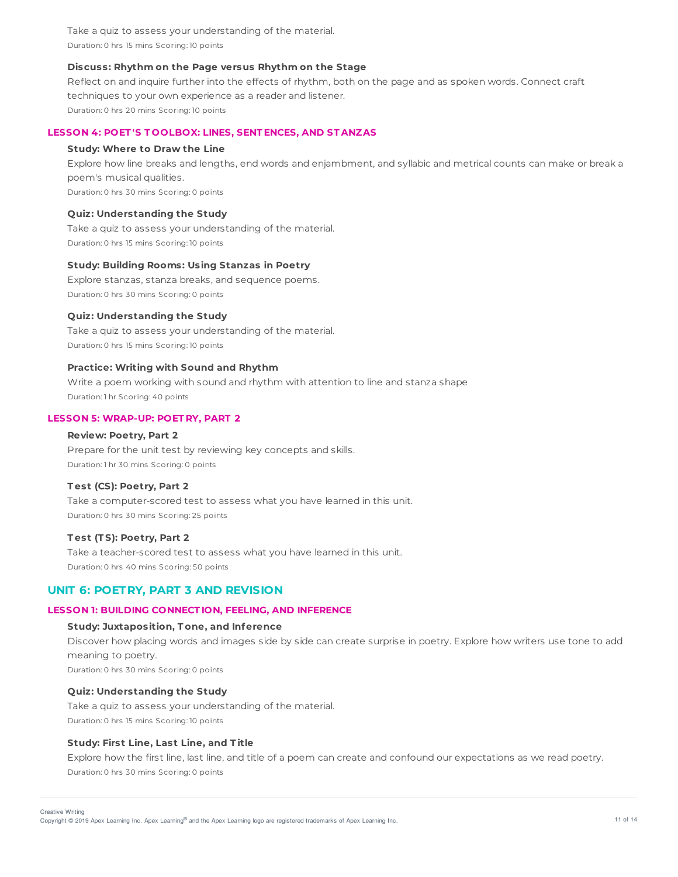Take a quiz to assess your understanding of the material. Duration: 0 hrs 15 mins Scoring: 10 points

### **Discuss: Rhythm on the Page versus Rhythm on the Stage**

Reflect on and inquire further into the effects of rhythm, both on the page and as spoken words. Connect craft techniques to your own experience as a reader and listener. Duration: 0 hrs 20 mins Scoring: 10 points

### **LESSON 4: POET 'S T OOLBOX: LINES, SENT ENCES, AND ST ANZAS**

#### **Study: Where to Draw the Line**

Explore how line breaks and lengths, end words and enjambment, and syllabic and metrical counts can make or break a poem's musical qualities.

Duration: 0 hrs 30 mins Scoring: 0 points

### **Quiz: Understanding the Study**

Take a quiz to assess your understanding of the material. Duration: 0 hrs 15 mins Scoring: 10 points

#### **Study: Building Rooms: Using Stanzas in Poetry**

Explore stanzas, stanza breaks, and sequence poems. Duration: 0 hrs 30 mins Scoring: 0 points

### **Quiz: Understanding the Study**

Take a quiz to assess your understanding of the material. Duration: 0 hrs 15 mins Scoring: 10 points

#### **Practice: Writing with Sound and Rhythm**

Write a poem working with sound and rhythm with attention to line and stanza shape Duration: 1 hr Scoring: 40 points

### **LESSON 5: WRAP-UP: POET RY, PART 2**

#### **Review: Poetry, Part 2**

Prepare for the unit test by reviewing key concepts and skills. Duration: 1 hr 30 mins Scoring: 0 points

### **T est (CS): Poetry, Part 2**

Take a computer-scored test to assess what you have learned in this unit. Duration: 0 hrs 30 mins Scoring: 25 points

#### **T est (T S): Poetry, Part 2**

Take a teacher-scored test to assess what you have learned in this unit. Duration: 0 hrs 40 mins Scoring: 50 points

# **UNIT 6: POETRY, PART 3 AND REVISION**

### **LESSON 1: BUILDING CONNECT ION, FEELING, AND INFERENCE**

#### **Study: Juxtaposition, T one, and Inference**

Discover how placing words and images side by side can create surprise in poetry. Explore how writers use tone to add meaning to poetry.

Duration: 0 hrs 30 mins Scoring: 0 points

### **Quiz: Understanding the Study**

Take a quiz to assess your understanding of the material. Duration: 0 hrs 15 mins Scoring: 10 points

### **Study: First Line, Last Line, and T itle**

Explore how the first line, last line, and title of a poem can create and confound our expectations as we read poetry. Duration: 0 hrs 30 mins Scoring: 0 points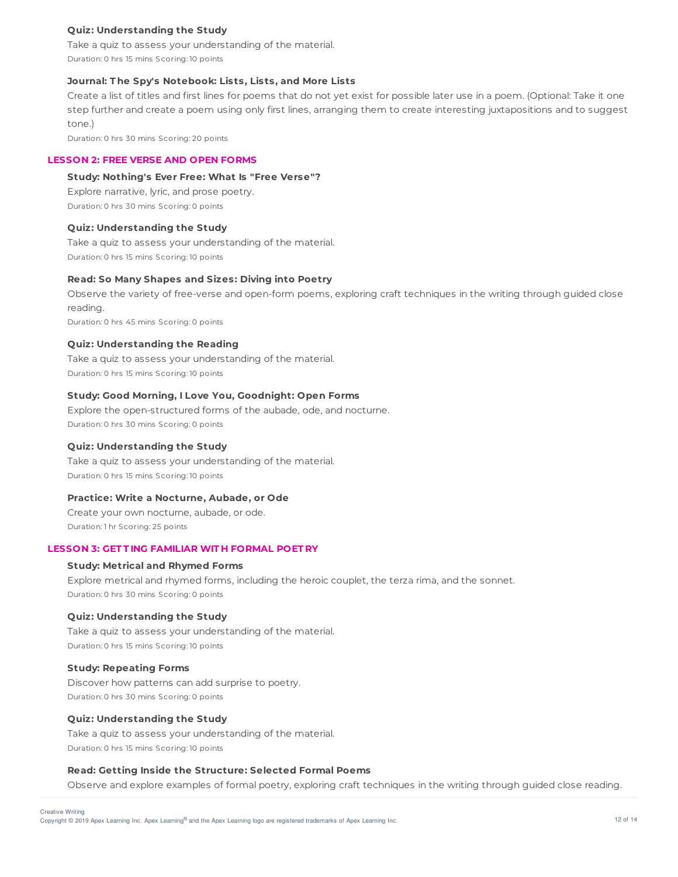# **Quiz: Understanding the Study**

Take a quiz to assess your understanding of the material. Duration: 0 hrs 15 mins Scoring: 10 points

# **Journal: T he Spy's Notebook: Lists, Lists, and More Lists**

Create a list of titles and first lines for poems that do not yet exist for possible later use in a poem. (Optional: Take it one step further and create a poem using only first lines, arranging them to create interesting juxtapositions and to suggest tone.)

Duration: 0 hrs 30 mins Scoring: 20 points

### **LESSON 2: FREE VERSE AND OPEN FORMS**

# **Study: Nothing's Ever Free: What Is "Free Verse"?**

Explore narrative, lyric, and prose poetry. Duration: 0 hrs 30 mins Scoring: 0 points

# **Quiz: Understanding the Study**

Take a quiz to assess your understanding of the material. Duration: 0 hrs 15 mins Scoring: 10 points

## **Read: So Many Shapes and Sizes: Diving into Poetry**

Observe the variety of free-verse and open-form poems, exploring craft techniques in the writing through guided close reading. Duration: 0 hrs 45 mins Scoring: 0 points

### **Quiz: Understanding the Reading**

Take a quiz to assess your understanding of the material. Duration: 0 hrs 15 mins Scoring: 10 points

# **Study: Good Morning, I Love You, Goodnight: Open Forms**

Explore the open-structured forms of the aubade, ode, and nocturne. Duration: 0 hrs 30 mins Scoring: 0 points

#### **Quiz: Understanding the Study**

Take a quiz to assess your understanding of the material. Duration: 0 hrs 15 mins Scoring: 10 points

#### **Practice: Write a Nocturne, Aubade, or Ode**

Create your own nocturne, aubade, or ode. Duration: 1 hr Scoring: 25 points

# **LESSON 3: GET T ING FAMILIAR WIT H FORMAL POET RY**

# **Study: Metrical and Rhymed Forms**

Explore metrical and rhymed forms, including the heroic couplet, the terza rima, and the sonnet. Duration: 0 hrs 30 mins Scoring: 0 points

### **Quiz: Understanding the Study**

Take a quiz to assess your understanding of the material. Duration: 0 hrs 15 mins Scoring: 10 points

#### **Study: Repeating Forms**

Discover how patterns can add surprise to poetry. Duration: 0 hrs 30 mins Scoring: 0 points

#### **Quiz: Understanding the Study**

Take a quiz to assess your understanding of the material. Duration: 0 hrs 15 mins Scoring: 10 points

#### **Read: Getting Inside the Structure: Selected Formal Poems**

Observe and explore examples of formal poetry, exploring craft techniques in the writing through guided close reading.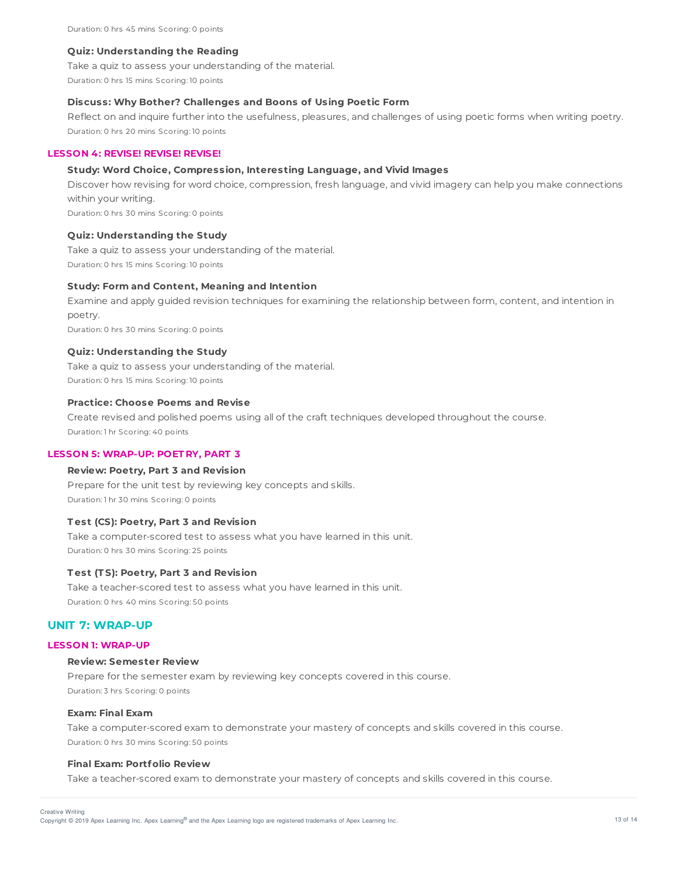#### **Quiz: Understanding the Reading**

Take a quiz to assess your understanding of the material.

Duration: 0 hrs 15 mins Scoring: 10 points

### **Discuss: Why Bother? Challenges and Boons of Using Poetic Form**

Reflect on and inquire further into the usefulness, pleasures, and challenges of using poetic forms when writing poetry. Duration: 0 hrs 20 mins Scoring: 10 points

### **LESSON 4: REVISE! REVISE! REVISE!**

#### **Study: Word Choice, Compression, Interesting Language, and Vivid Images**

Discover how revising for word choice, compression, fresh language, and vivid imagery can help you make connections within your writing.

Duration: 0 hrs 30 mins Scoring: 0 points

### **Quiz: Understanding the Study**

Take a quiz to assess your understanding of the material. Duration: 0 hrs 15 mins Scoring: 10 points

### **Study: Form and Content, Meaning and Intention**

Examine and apply guided revision techniques for examining the relationship between form, content, and intention in poetry.

Duration: 0 hrs 30 mins Scoring: 0 points

### **Quiz: Understanding the Study**

Take a quiz to assess your understanding of the material. Duration: 0 hrs 15 mins Scoring: 10 points

### **Practice: Choose Poems and Revise**

Create revised and polished poems using all of the craft techniques developed throughout the course. Duration: 1 hr Scoring: 40 points

#### **LESSON 5: WRAP-UP: POET RY, PART 3**

#### **Review: Poetry, Part 3 and Revision**

Prepare for the unit test by reviewing key concepts and skills. Duration: 1 hr 30 mins Scoring: 0 points

#### **T est (CS): Poetry, Part 3 and Revision**

Take a computer-scored test to assess what you have learned in this unit. Duration: 0 hrs 30 mins Scoring: 25 points

### **T est (T S): Poetry, Part 3 and Revision**

Take a teacher-scored test to assess what you have learned in this unit. Duration: 0 hrs 40 mins Scoring: 50 points

# **UNIT 7: WRAP-UP**

### **LESSON 1: WRAP-UP**

#### **Review: Semester Review**

Prepare for the semester exam by reviewing key concepts covered in this course. Duration: 3 hrs Scoring: 0 points

#### **Exam: Final Exam**

Take a computer-scored exam to demonstrate your mastery of concepts and skills covered in this course. Duration: 0 hrs 30 mins Scoring: 50 points

#### **Final Exam: Portfolio Review**

Take a teacher-scored exam to demonstrate your mastery of concepts and skills covered in this course.